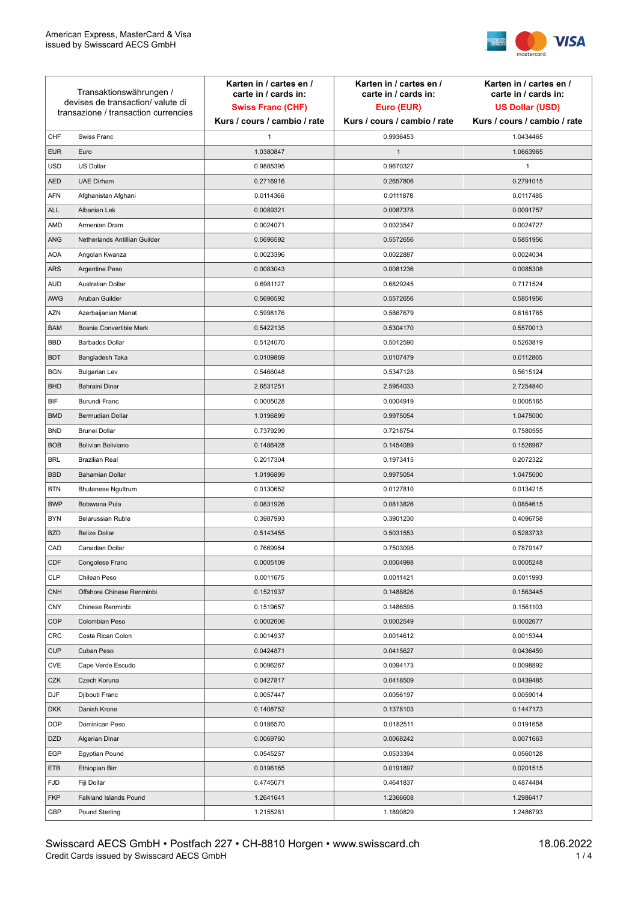

| Transaktionswährungen /<br>devises de transaction/valute di<br>transazione / transaction currencies |                               | Karten in / cartes en /<br>carte in / cards in:<br><b>Swiss Franc (CHF)</b> | Karten in / cartes en /<br>carte in / cards in:<br>Euro (EUR) | Karten in / cartes en /<br>carte in / cards in:<br><b>US Dollar (USD)</b> |
|-----------------------------------------------------------------------------------------------------|-------------------------------|-----------------------------------------------------------------------------|---------------------------------------------------------------|---------------------------------------------------------------------------|
|                                                                                                     |                               | Kurs / cours / cambio / rate                                                | Kurs / cours / cambio / rate                                  | Kurs / cours / cambio / rate                                              |
| CHF                                                                                                 | Swiss Franc                   | 1                                                                           | 0.9936453                                                     | 1.0434465                                                                 |
| <b>EUR</b>                                                                                          | Euro                          | 1.0380847                                                                   | $\mathbf{1}$                                                  | 1.0663965                                                                 |
| <b>USD</b>                                                                                          | US Dollar                     | 0.9885395                                                                   | 0.9670327                                                     | $\mathbf{1}$                                                              |
| <b>AED</b>                                                                                          | <b>UAE Dirham</b>             | 0.2716916                                                                   | 0.2657806                                                     | 0.2791015                                                                 |
| <b>AFN</b>                                                                                          | Afghanistan Afghani           | 0.0114366                                                                   | 0.0111878                                                     | 0.0117485                                                                 |
| ALL                                                                                                 | Albanian Lek                  | 0.0089321                                                                   | 0.0087378                                                     | 0.0091757                                                                 |
| AMD                                                                                                 | Armenian Dram                 | 0.0024071                                                                   | 0.0023547                                                     | 0.0024727                                                                 |
| ANG                                                                                                 | Netherlands Antillian Guilder | 0.5696592                                                                   | 0.5572656                                                     | 0.5851956                                                                 |
| <b>AOA</b>                                                                                          | Angolan Kwanza                | 0.0023396                                                                   | 0.0022887                                                     | 0.0024034                                                                 |
| ARS                                                                                                 | Argentine Peso                | 0.0083043                                                                   | 0.0081236                                                     | 0.0085308                                                                 |
| <b>AUD</b>                                                                                          | Australian Dollar             | 0.6981127                                                                   | 0.6829245                                                     | 0.7171524                                                                 |
| AWG                                                                                                 | Aruban Guilder                | 0.5696592                                                                   | 0.5572656                                                     | 0.5851956                                                                 |
| AZN                                                                                                 | Azerbaijanian Manat           | 0.5998176                                                                   | 0.5867679                                                     | 0.6161765                                                                 |
| <b>BAM</b>                                                                                          | Bosnia Convertible Mark       | 0.5422135                                                                   | 0.5304170                                                     | 0.5570013                                                                 |
| <b>BBD</b>                                                                                          | <b>Barbados Dollar</b>        | 0.5124070                                                                   | 0.5012590                                                     | 0.5263819                                                                 |
| <b>BDT</b>                                                                                          | Bangladesh Taka               | 0.0109869                                                                   | 0.0107479                                                     | 0.0112865                                                                 |
| <b>BGN</b>                                                                                          | <b>Bulgarian Lev</b>          | 0.5466048                                                                   | 0.5347128                                                     | 0.5615124                                                                 |
| <b>BHD</b>                                                                                          | Bahraini Dinar                | 2.6531251                                                                   | 2.5954033                                                     | 2.7254840                                                                 |
| BIF                                                                                                 | Burundi Franc                 | 0.0005028                                                                   | 0.0004919                                                     | 0.0005165                                                                 |
| <b>BMD</b>                                                                                          | Bermudian Dollar              | 1.0196899                                                                   | 0.9975054                                                     | 1.0475000                                                                 |
| <b>BND</b>                                                                                          | <b>Brunei Dollar</b>          | 0.7379299                                                                   | 0.7218754                                                     | 0.7580555                                                                 |
| <b>BOB</b>                                                                                          | Bolivian Boliviano            | 0.1486428                                                                   | 0.1454089                                                     | 0.1526967                                                                 |
| <b>BRL</b>                                                                                          | <b>Brazilian Real</b>         | 0.2017304                                                                   | 0.1973415                                                     | 0.2072322                                                                 |
| <b>BSD</b>                                                                                          | <b>Bahamian Dollar</b>        | 1.0196899                                                                   | 0.9975054                                                     | 1.0475000                                                                 |
| <b>BTN</b>                                                                                          | <b>Bhutanese Ngultrum</b>     | 0.0130652                                                                   | 0.0127810                                                     | 0.0134215                                                                 |
| <b>BWP</b>                                                                                          | Botswana Pula                 | 0.0831926                                                                   | 0.0813826                                                     | 0.0854615                                                                 |
| <b>BYN</b>                                                                                          | Belarussian Ruble             | 0.3987993                                                                   | 0.3901230                                                     | 0.4096758                                                                 |
| <b>BZD</b>                                                                                          | <b>Belize Dollar</b>          | 0.5143455                                                                   | 0.5031553                                                     | 0.5283733                                                                 |
| CAD                                                                                                 | Canadian Dollar               | 0.7669964                                                                   | 0.7503095                                                     | 0.7879147                                                                 |
| CDF                                                                                                 | Congolese Franc               | 0.0005109                                                                   | 0.0004998                                                     | 0.0005248                                                                 |
| <b>CLP</b>                                                                                          | Chilean Peso                  | 0.0011675                                                                   | 0.0011421                                                     | 0.0011993                                                                 |
| <b>CNH</b>                                                                                          | Offshore Chinese Renminbi     | 0.1521937                                                                   | 0.1488826                                                     | 0.1563445                                                                 |
| <b>CNY</b>                                                                                          | Chinese Renminbi              | 0.1519657                                                                   | 0.1486595                                                     | 0.1561103                                                                 |
| <b>COP</b>                                                                                          | Colombian Peso                | 0.0002606                                                                   | 0.0002549                                                     | 0.0002677                                                                 |
| CRC                                                                                                 | Costa Rican Colon             | 0.0014937                                                                   | 0.0014612                                                     | 0.0015344                                                                 |
| <b>CUP</b>                                                                                          | Cuban Peso                    | 0.0424871                                                                   | 0.0415627                                                     | 0.0436459                                                                 |
| CVE                                                                                                 | Cape Verde Escudo             | 0.0096267                                                                   | 0.0094173                                                     | 0.0098892                                                                 |
| CZK                                                                                                 | Czech Koruna                  | 0.0427817                                                                   | 0.0418509                                                     | 0.0439485                                                                 |
| DJF                                                                                                 | Djibouti Franc                | 0.0057447                                                                   | 0.0056197                                                     | 0.0059014                                                                 |
| <b>DKK</b>                                                                                          | Danish Krone                  | 0.1408752                                                                   | 0.1378103                                                     | 0.1447173                                                                 |
| <b>DOP</b>                                                                                          | Dominican Peso                | 0.0186570                                                                   | 0.0182511                                                     | 0.0191658                                                                 |
| <b>DZD</b>                                                                                          | Algerian Dinar                | 0.0069760                                                                   | 0.0068242                                                     | 0.0071663                                                                 |
| EGP                                                                                                 | Egyptian Pound                | 0.0545257                                                                   | 0.0533394                                                     | 0.0560128                                                                 |
| ETB                                                                                                 | Ethiopian Birr                | 0.0196165                                                                   | 0.0191897                                                     | 0.0201515                                                                 |
| <b>FJD</b>                                                                                          | Fiji Dollar                   | 0.4745071                                                                   | 0.4641837                                                     | 0.4874484                                                                 |
| <b>FKP</b>                                                                                          | Falkland Islands Pound        | 1.2641641                                                                   | 1.2366608                                                     | 1.2986417                                                                 |
| GBP                                                                                                 | Pound Sterling                | 1.2155281                                                                   | 1.1890829                                                     | 1.2486793                                                                 |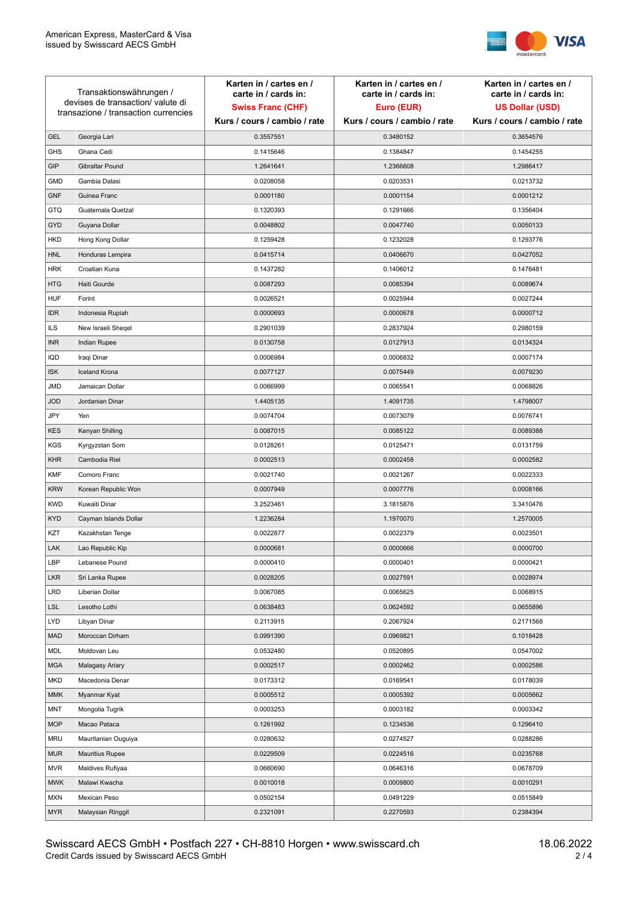

| Transaktionswährungen /<br>devises de transaction/valute di<br>transazione / transaction currencies |                        | Karten in / cartes en /<br>carte in / cards in: | Karten in / cartes en /<br>carte in / cards in: | Karten in / cartes en /<br>carte in / cards in: |
|-----------------------------------------------------------------------------------------------------|------------------------|-------------------------------------------------|-------------------------------------------------|-------------------------------------------------|
|                                                                                                     |                        | <b>Swiss Franc (CHF)</b>                        | Euro (EUR)                                      | <b>US Dollar (USD)</b>                          |
|                                                                                                     |                        | Kurs / cours / cambio / rate                    | Kurs / cours / cambio / rate                    | Kurs / cours / cambio / rate                    |
| <b>GEL</b>                                                                                          | Georgia Lari           | 0.3557551                                       | 0.3480152                                       | 0.3654576                                       |
| <b>GHS</b>                                                                                          | Ghana Cedi             | 0.1415646                                       | 0.1384847                                       | 0.1454255                                       |
| GIP                                                                                                 | Gibraltar Pound        | 1.2641641                                       | 1.2366608                                       | 1.2986417                                       |
| <b>GMD</b>                                                                                          | Gambia Dalasi          | 0.0208058                                       | 0.0203531                                       | 0.0213732                                       |
| <b>GNF</b>                                                                                          | Guinea Franc           | 0.0001180                                       | 0.0001154                                       | 0.0001212                                       |
| <b>GTQ</b>                                                                                          | Guatemala Quetzal      | 0.1320393                                       | 0.1291666                                       | 0.1356404                                       |
| GYD                                                                                                 | Guyana Dollar          | 0.0048802                                       | 0.0047740                                       | 0.0050133                                       |
| HKD                                                                                                 | Hong Kong Dollar       | 0.1259428                                       | 0.1232028                                       | 0.1293776                                       |
| <b>HNL</b>                                                                                          | Honduras Lempira       | 0.0415714                                       | 0.0406670                                       | 0.0427052                                       |
| <b>HRK</b>                                                                                          | Croatian Kuna          | 0.1437282                                       | 0.1406012                                       | 0.1476481                                       |
| <b>HTG</b>                                                                                          | Haiti Gourde           | 0.0087293                                       | 0.0085394                                       | 0.0089674                                       |
| <b>HUF</b>                                                                                          | Forint                 | 0.0026521                                       | 0.0025944                                       | 0.0027244                                       |
| <b>IDR</b>                                                                                          | Indonesia Rupiah       | 0.0000693                                       | 0.0000678                                       | 0.0000712                                       |
| <b>ILS</b>                                                                                          | New Israeli Sheqel     | 0.2901039                                       | 0.2837924                                       | 0.2980159                                       |
| <b>INR</b>                                                                                          | Indian Rupee           | 0.0130758                                       | 0.0127913                                       | 0.0134324                                       |
| IQD                                                                                                 | Iraqi Dinar            | 0.0006984                                       | 0.0006832                                       | 0.0007174                                       |
| <b>ISK</b>                                                                                          | <b>Iceland Krona</b>   | 0.0077127                                       | 0.0075449                                       | 0.0079230                                       |
| <b>JMD</b>                                                                                          | Jamaican Dollar        | 0.0066999                                       | 0.0065541                                       | 0.0068826                                       |
| <b>JOD</b>                                                                                          | Jordanian Dinar        | 1.4405135                                       | 1.4091735                                       | 1.4798007                                       |
| JPY                                                                                                 | Yen                    | 0.0074704                                       | 0.0073079                                       | 0.0076741                                       |
| <b>KES</b>                                                                                          | Kenyan Shilling        | 0.0087015                                       | 0.0085122                                       | 0.0089388                                       |
| <b>KGS</b>                                                                                          | Kyrgyzstan Som         | 0.0128261                                       | 0.0125471                                       | 0.0131759                                       |
| <b>KHR</b>                                                                                          | Cambodia Riel          | 0.0002513                                       | 0.0002458                                       | 0.0002582                                       |
| <b>KMF</b>                                                                                          | Comoro Franc           | 0.0021740                                       | 0.0021267                                       | 0.0022333                                       |
| <b>KRW</b>                                                                                          | Korean Republic Won    | 0.0007949                                       | 0.0007776                                       | 0.0008166                                       |
| <b>KWD</b>                                                                                          | Kuwaiti Dinar          | 3.2523461                                       | 3.1815876                                       | 3.3410476                                       |
| <b>KYD</b>                                                                                          | Cayman Islands Dollar  | 1.2236284                                       | 1.1970070                                       | 1.2570005                                       |
| KZT                                                                                                 | Kazakhstan Tenge       | 0.0022877                                       | 0.0022379                                       | 0.0023501                                       |
| LAK                                                                                                 | Lao Republic Kip       | 0.0000681                                       | 0.0000666                                       | 0.0000700                                       |
| LBP                                                                                                 | Lebanese Pound         | 0.0000410                                       | 0.0000401                                       | 0.0000421                                       |
| <b>LKR</b>                                                                                          | Sri Lanka Rupee        | 0.0028205                                       | 0.0027591                                       | 0.0028974                                       |
| LRD                                                                                                 | Liberian Dollar        | 0.0067085                                       | 0.0065625                                       | 0.0068915                                       |
| <b>LSL</b>                                                                                          | Lesotho Lothi          | 0.0638483                                       | 0.0624592                                       | 0.0655896                                       |
| LYD                                                                                                 | Libyan Dinar           | 0.2113915                                       | 0.2067924                                       | 0.2171568                                       |
| <b>MAD</b>                                                                                          | Moroccan Dirham        | 0.0991390                                       | 0.0969821                                       | 0.1018428                                       |
| MDL                                                                                                 | Moldovan Leu           | 0.0532480                                       | 0.0520895                                       | 0.0547002                                       |
| <b>MGA</b>                                                                                          | Malagasy Ariary        | 0.0002517                                       | 0.0002462                                       | 0.0002586                                       |
| MKD                                                                                                 | Macedonia Denar        | 0.0173312                                       | 0.0169541                                       | 0.0178039                                       |
| <b>MMK</b>                                                                                          | Myanmar Kyat           | 0.0005512                                       | 0.0005392                                       | 0.0005662                                       |
| <b>MNT</b>                                                                                          | Mongolia Tugrik        | 0.0003253                                       | 0.0003182                                       | 0.0003342                                       |
| <b>MOP</b>                                                                                          | Macao Pataca           | 0.1261992                                       | 0.1234536                                       | 0.1296410                                       |
| <b>MRU</b>                                                                                          | Mauritanian Ouguiya    | 0.0280632                                       | 0.0274527                                       | 0.0288286                                       |
| <b>MUR</b>                                                                                          | <b>Mauritius Rupee</b> | 0.0229509                                       | 0.0224516                                       | 0.0235768                                       |
| <b>MVR</b>                                                                                          | Maldives Rufiyaa       | 0.0660690                                       | 0.0646316                                       | 0.0678709                                       |
| <b>MWK</b>                                                                                          | Malawi Kwacha          | 0.0010018                                       | 0.0009800                                       | 0.0010291                                       |
| MXN                                                                                                 | Mexican Peso           | 0.0502154                                       | 0.0491229                                       | 0.0515849                                       |
| <b>MYR</b>                                                                                          | Malaysian Ringgit      | 0.2321091                                       | 0.2270593                                       | 0.2384394                                       |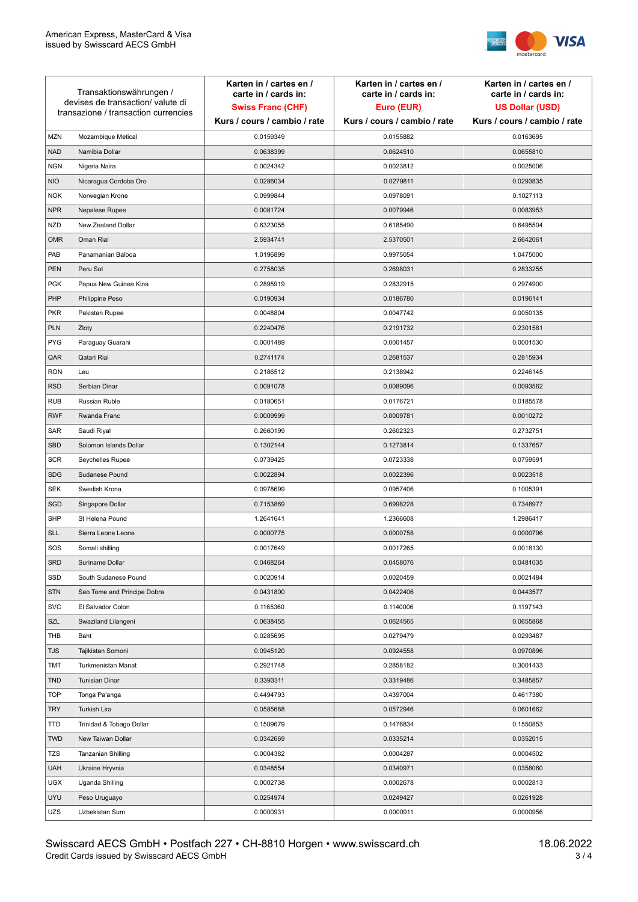

| Transaktionswährungen /<br>devises de transaction/valute di<br>transazione / transaction currencies |                             | Karten in / cartes en /<br>carte in / cards in:<br><b>Swiss Franc (CHF)</b> | Karten in / cartes en /<br>carte in / cards in:<br>Euro (EUR) | Karten in / cartes en /<br>carte in / cards in:<br><b>US Dollar (USD)</b> |
|-----------------------------------------------------------------------------------------------------|-----------------------------|-----------------------------------------------------------------------------|---------------------------------------------------------------|---------------------------------------------------------------------------|
|                                                                                                     |                             | Kurs / cours / cambio / rate                                                | Kurs / cours / cambio / rate                                  | Kurs / cours / cambio / rate                                              |
| <b>MZN</b>                                                                                          | Mozambique Metical          | 0.0159349                                                                   | 0.0155882                                                     | 0.0163695                                                                 |
| <b>NAD</b>                                                                                          | Namibia Dollar              | 0.0638399                                                                   | 0.0624510                                                     | 0.0655810                                                                 |
| <b>NGN</b>                                                                                          | Nigeria Naira               | 0.0024342                                                                   | 0.0023812                                                     | 0.0025006                                                                 |
| <b>NIO</b>                                                                                          | Nicaragua Cordoba Oro       | 0.0286034                                                                   | 0.0279811                                                     | 0.0293835                                                                 |
| <b>NOK</b>                                                                                          | Norwegian Krone             | 0.0999844                                                                   | 0.0978091                                                     | 0.1027113                                                                 |
| <b>NPR</b>                                                                                          | Nepalese Rupee              | 0.0081724                                                                   | 0.0079946                                                     | 0.0083953                                                                 |
| <b>NZD</b>                                                                                          | New Zealand Dollar          | 0.6323055                                                                   | 0.6185490                                                     | 0.6495504                                                                 |
| <b>OMR</b>                                                                                          | Oman Rial                   | 2.5934741                                                                   | 2.5370501                                                     | 2.6642061                                                                 |
| PAB                                                                                                 | Panamanian Balboa           | 1.0196899                                                                   | 0.9975054                                                     | 1.0475000                                                                 |
| <b>PEN</b>                                                                                          | Peru Sol                    | 0.2758035                                                                   | 0.2698031                                                     | 0.2833255                                                                 |
| <b>PGK</b>                                                                                          | Papua New Guinea Kina       | 0.2895919                                                                   | 0.2832915                                                     | 0.2974900                                                                 |
| PHP                                                                                                 | Philippine Peso             | 0.0190934                                                                   | 0.0186780                                                     | 0.0196141                                                                 |
| <b>PKR</b>                                                                                          | Pakistan Rupee              | 0.0048804                                                                   | 0.0047742                                                     | 0.0050135                                                                 |
| <b>PLN</b>                                                                                          | Zloty                       | 0.2240476                                                                   | 0.2191732                                                     | 0.2301581                                                                 |
| <b>PYG</b>                                                                                          | Paraguay Guarani            | 0.0001489                                                                   | 0.0001457                                                     | 0.0001530                                                                 |
| QAR                                                                                                 | Qatari Rial                 | 0.2741174                                                                   | 0.2681537                                                     | 0.2815934                                                                 |
| <b>RON</b>                                                                                          | Leu                         | 0.2186512                                                                   | 0.2138942                                                     | 0.2246145                                                                 |
| <b>RSD</b>                                                                                          | Serbian Dinar               | 0.0091078                                                                   | 0.0089096                                                     | 0.0093562                                                                 |
| <b>RUB</b>                                                                                          | Russian Ruble               | 0.0180651                                                                   | 0.0176721                                                     | 0.0185578                                                                 |
| <b>RWF</b>                                                                                          | Rwanda Franc                | 0.0009999                                                                   | 0.0009781                                                     | 0.0010272                                                                 |
| SAR                                                                                                 | Saudi Riyal                 | 0.2660199                                                                   | 0.2602323                                                     | 0.2732751                                                                 |
| <b>SBD</b>                                                                                          | Solomon Islands Dollar      | 0.1302144                                                                   | 0.1273814                                                     | 0.1337657                                                                 |
| <b>SCR</b>                                                                                          | Seychelles Rupee            | 0.0739425                                                                   | 0.0723338                                                     | 0.0759591                                                                 |
| <b>SDG</b>                                                                                          | Sudanese Pound              | 0.0022894                                                                   | 0.0022396                                                     | 0.0023518                                                                 |
| <b>SEK</b>                                                                                          | Swedish Krona               | 0.0978699                                                                   | 0.0957406                                                     | 0.1005391                                                                 |
| SGD                                                                                                 | Singapore Dollar            | 0.7153869                                                                   | 0.6998228                                                     | 0.7348977                                                                 |
| <b>SHP</b>                                                                                          | St Helena Pound             | 1.2641641                                                                   | 1.2366608                                                     | 1.2986417                                                                 |
| <b>SLL</b>                                                                                          | Sierra Leone Leone          | 0.0000775                                                                   | 0.0000758                                                     | 0.0000796                                                                 |
| SOS                                                                                                 | Somali shilling             | 0.0017649                                                                   | 0.0017265                                                     | 0.0018130                                                                 |
| SRD                                                                                                 | Suriname Dollar             | 0.0468264                                                                   | 0.0458076                                                     | 0.0481035                                                                 |
| SSD                                                                                                 | South Sudanese Pound        | 0.0020914                                                                   | 0.0020459                                                     | 0.0021484                                                                 |
| <b>STN</b>                                                                                          | Sao Tome and Principe Dobra | 0.0431800                                                                   | 0.0422406                                                     | 0.0443577                                                                 |
| <b>SVC</b>                                                                                          | El Salvador Colon           | 0.1165360                                                                   | 0.1140006                                                     | 0.1197143                                                                 |
| SZL                                                                                                 | Swaziland Lilangeni         | 0.0638455                                                                   | 0.0624565                                                     | 0.0655868                                                                 |
| THB                                                                                                 | Baht                        | 0.0285695                                                                   | 0.0279479                                                     | 0.0293487                                                                 |
| TJS                                                                                                 | Tajikistan Somoni           | 0.0945120                                                                   | 0.0924558                                                     | 0.0970896                                                                 |
| <b>TMT</b>                                                                                          | Turkmenistan Manat          | 0.2921748                                                                   | 0.2858182                                                     | 0.3001433                                                                 |
| <b>TND</b>                                                                                          | <b>Tunisian Dinar</b>       | 0.3393311                                                                   | 0.3319486                                                     | 0.3485857                                                                 |
| <b>TOP</b>                                                                                          | Tonga Pa'anga               | 0.4494793                                                                   | 0.4397004                                                     | 0.4617380                                                                 |
| <b>TRY</b>                                                                                          | Turkish Lira                | 0.0585688                                                                   | 0.0572946                                                     | 0.0601662                                                                 |
| TTD                                                                                                 | Trinidad & Tobago Dollar    | 0.1509679                                                                   | 0.1476834                                                     | 0.1550853                                                                 |
| <b>TWD</b>                                                                                          | New Taiwan Dollar           | 0.0342669                                                                   | 0.0335214                                                     | 0.0352015                                                                 |
| <b>TZS</b>                                                                                          | Tanzanian Shilling          | 0.0004382                                                                   | 0.0004287                                                     | 0.0004502                                                                 |
| <b>UAH</b>                                                                                          | Ukraine Hryvnia             | 0.0348554                                                                   | 0.0340971                                                     | 0.0358060                                                                 |
| <b>UGX</b>                                                                                          | Uganda Shilling             | 0.0002738                                                                   | 0.0002678                                                     | 0.0002813                                                                 |
| <b>UYU</b>                                                                                          | Peso Uruguayo               | 0.0254974                                                                   | 0.0249427                                                     | 0.0261928                                                                 |
| UZS                                                                                                 | Uzbekistan Sum              | 0.0000931                                                                   | 0.0000911                                                     | 0.0000956                                                                 |